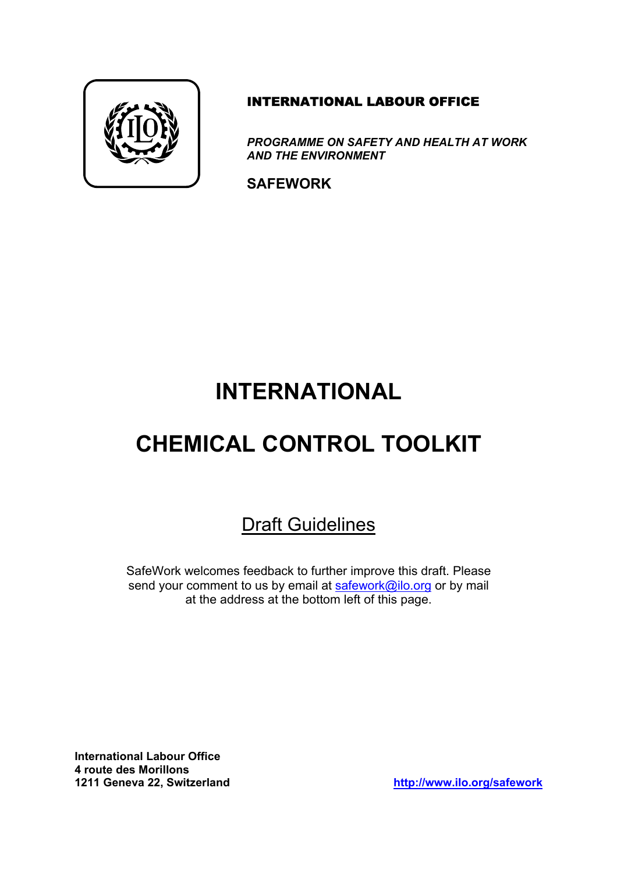

#### INTERNATIONAL LABOUR OFFICE

*PROGRAMME ON SAFETY AND HEALTH AT WORK AND THE ENVIRONMENT* 

**SAFEWORK** 

# **INTERNATIONAL**

# **CHEMICAL CONTROL TOOLKIT**

# Draft Guidelines

SafeWork welcomes feedback to further improve this draft. Please send your comment to us by email at [safework@ilo.org](mailto:safework@ilo.org) or by mail at the address at the bottom left of this page.

**International Labour Office 4 route des Morillons** 

**1211 Geneva 22, Switzerland <http://www.ilo.org/safework>**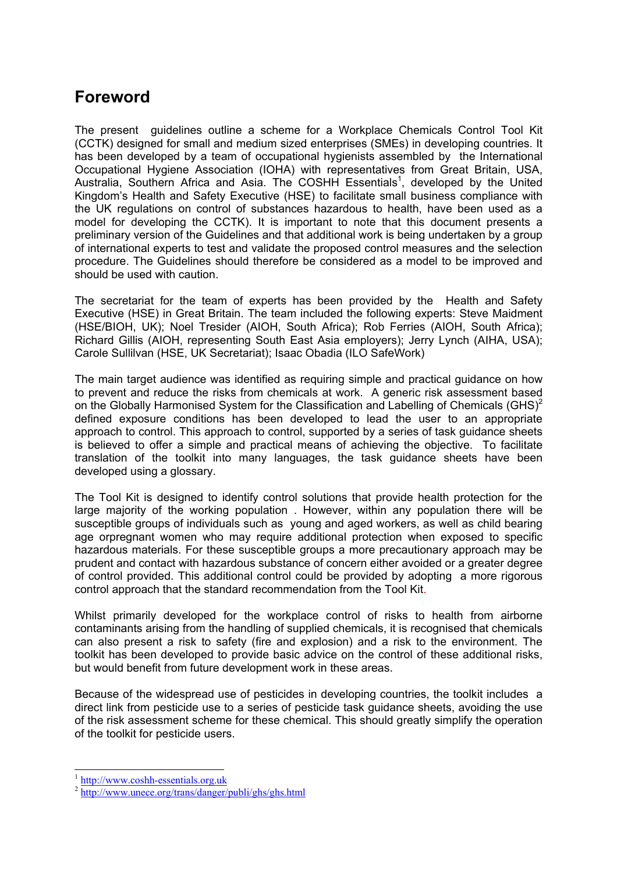## **Foreword**

The present guidelines outline a scheme for a Workplace Chemicals Control Tool Kit (CCTK) designed for small and medium sized enterprises (SMEs) in developing countries. It has been developed by a team of occupational hygienists assembled by the International Occupational Hygiene Association (IOHA) with representatives from Great Britain, USA, Australia, Southern Africa and Asia. The COSHH Essentials<sup>1</sup>, developed by the United Kingdom's Health and Safety Executive (HSE) to facilitate small business compliance with the UK regulations on control of substances hazardous to health, have been used as a model for developing the CCTK). It is important to note that this document presents a preliminary version of the Guidelines and that additional work is being undertaken by a group of international experts to test and validate the proposed control measures and the selection procedure. The Guidelines should therefore be considered as a model to be improved and should be used with caution.

The secretariat for the team of experts has been provided by the Health and Safety Executive (HSE) in Great Britain. The team included the following experts: Steve Maidment (HSE/BIOH, UK); Noel Tresider (AIOH, South Africa); Rob Ferries (AIOH, South Africa); Richard Gillis (AIOH, representing South East Asia employers); Jerry Lynch (AIHA, USA); Carole Sullilvan (HSE, UK Secretariat); Isaac Obadia (ILO SafeWork)

The main target audience was identified as requiring simple and practical guidance on how to prevent and reduce the risks from chemicals at work. A generic risk assessment based on the Globally Harmonised System for the Classification and Labelling of Chemicals  $(GHS)^2$  $(GHS)^2$ defined exposure conditions has been developed to lead the user to an appropriate approach to control. This approach to control, supported by a series of task guidance sheets is believed to offer a simple and practical means of achieving the objective. To facilitate translation of the toolkit into many languages, the task guidance sheets have been developed using a glossary.

The Tool Kit is designed to identify control solutions that provide health protection for the large majority of the working population . However, within any population there will be susceptible groups of individuals such as young and aged workers, as well as child bearing age orpregnant women who may require additional protection when exposed to specific hazardous materials. For these susceptible groups a more precautionary approach may be prudent and contact with hazardous substance of concern either avoided or a greater degree of control provided. This additional control could be provided by adopting a more rigorous control approach that the standard recommendation from the Tool Kit.

Whilst primarily developed for the workplace control of risks to health from airborne contaminants arising from the handling of supplied chemicals, it is recognised that chemicals can also present a risk to safety (fire and explosion) and a risk to the environment. The toolkit has been developed to provide basic advice on the control of these additional risks, but would benefit from future development work in these areas.

Because of the widespread use of pesticides in developing countries, the toolkit includes a direct link from pesticide use to a series of pesticide task guidance sheets, avoiding the use of the risk assessment scheme for these chemical. This should greatly simplify the operation of the toolkit for pesticide users.

 $\overline{a}$ 

<span id="page-1-0"></span><sup>&</sup>lt;sup>1</sup> [http://www.coshh-essentials.org.uk](http://www.coshh-essentials.org.uk/)

<span id="page-1-1"></span><sup>&</sup>lt;sup>2</sup> http://www.unece.org/trans/danger/publi/ghs/ghs.html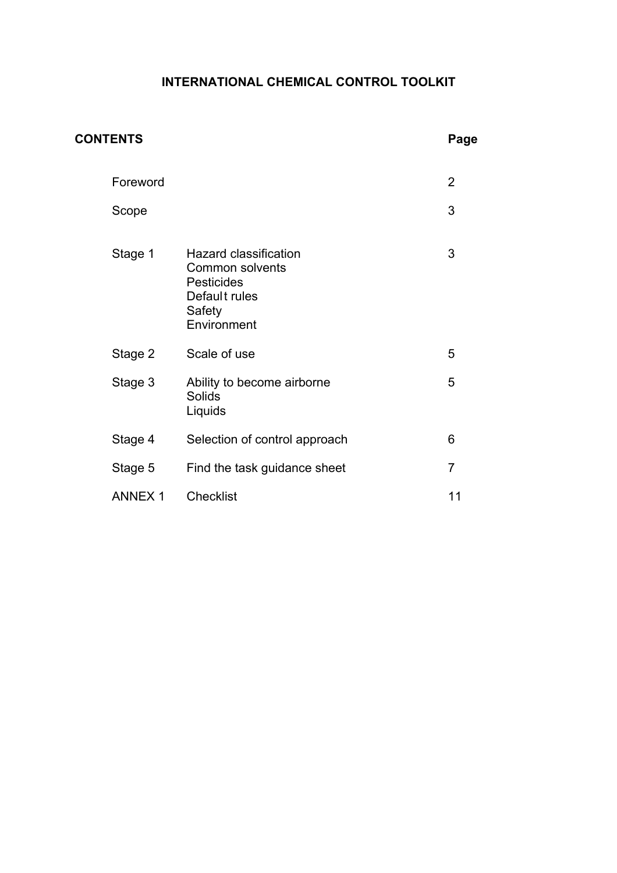#### **INTERNATIONAL CHEMICAL CONTROL TOOLKIT**

| <b>CONTENTS</b> |                                                                                                                | Page           |
|-----------------|----------------------------------------------------------------------------------------------------------------|----------------|
| Foreword        |                                                                                                                | $\overline{2}$ |
| Scope           |                                                                                                                | 3              |
| Stage 1         | <b>Hazard classification</b><br>Common solvents<br><b>Pesticides</b><br>Default rules<br>Safety<br>Environment | 3              |
| Stage 2         | Scale of use                                                                                                   | 5              |
| Stage 3         | Ability to become airborne<br>Solids<br>Liquids                                                                | 5              |
| Stage 4         | Selection of control approach                                                                                  | 6              |
| Stage 5         | Find the task guidance sheet                                                                                   | $\overline{7}$ |
| <b>ANNEX1</b>   | <b>Checklist</b>                                                                                               | 11             |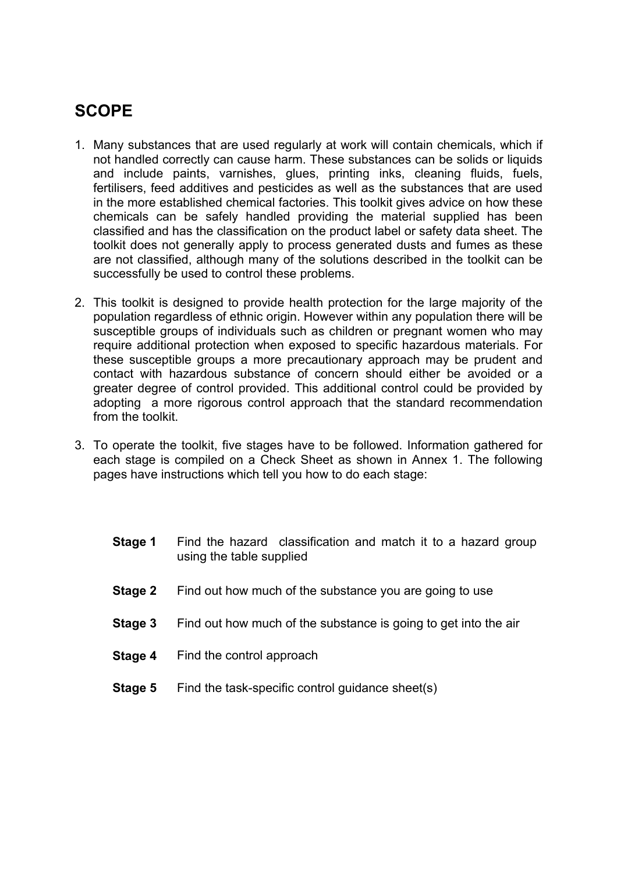# **SCOPE**

- 1. Many substances that are used regularly at work will contain chemicals, which if not handled correctly can cause harm. These substances can be solids or liquids and include paints, varnishes, glues, printing inks, cleaning fluids, fuels, fertilisers, feed additives and pesticides as well as the substances that are used in the more established chemical factories. This toolkit gives advice on how these chemicals can be safely handled providing the material supplied has been classified and has the classification on the product label or safety data sheet. The toolkit does not generally apply to process generated dusts and fumes as these are not classified, although many of the solutions described in the toolkit can be successfully be used to control these problems.
- 2. This toolkit is designed to provide health protection for the large majority of the population regardless of ethnic origin. However within any population there will be susceptible groups of individuals such as children or pregnant women who may require additional protection when exposed to specific hazardous materials. For these susceptible groups a more precautionary approach may be prudent and contact with hazardous substance of concern should either be avoided or a greater degree of control provided. This additional control could be provided by adopting a more rigorous control approach that the standard recommendation from the toolkit.
- 3. To operate the toolkit, five stages have to be followed. Information gathered for each stage is compiled on a Check Sheet as shown in Annex 1. The following pages have instructions which tell you how to do each stage:
	- **Stage 1** Find the hazard classification and match it to a hazard group using the table supplied
	- **Stage 2** Find out how much of the substance you are going to use
	- **Stage 3** Find out how much of the substance is going to get into the air
	- **Stage 4** Find the control approach
	- **Stage 5** Find the task-specific control guidance sheet(s)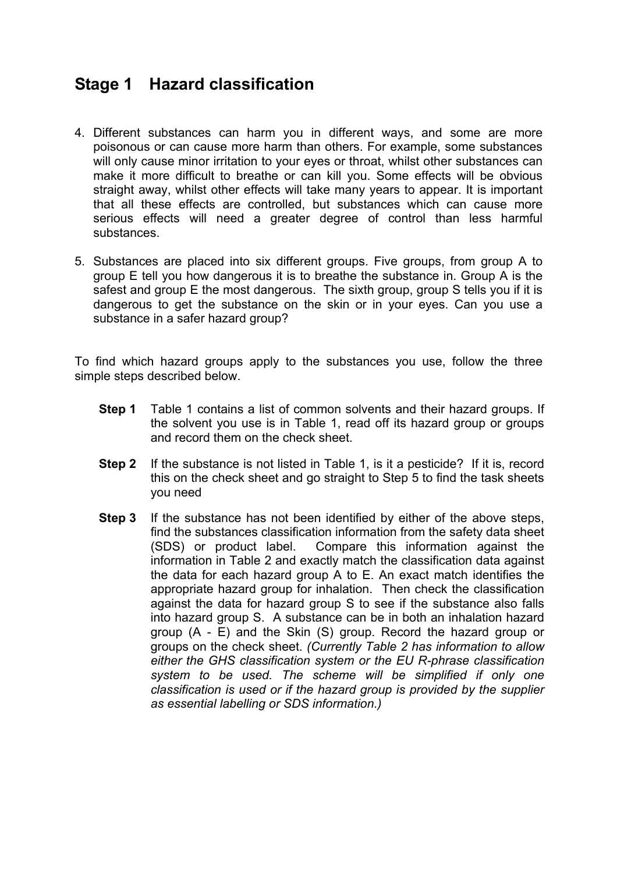## **Stage 1 Hazard classification**

- 4. Different substances can harm you in different ways, and some are more poisonous or can cause more harm than others. For example, some substances will only cause minor irritation to your eyes or throat, whilst other substances can make it more difficult to breathe or can kill you. Some effects will be obvious straight away, whilst other effects will take many years to appear. It is important that all these effects are controlled, but substances which can cause more serious effects will need a greater degree of control than less harmful substances.
- 5. Substances are placed into six different groups. Five groups, from group A to group E tell you how dangerous it is to breathe the substance in. Group A is the safest and group E the most dangerous. The sixth group, group S tells you if it is dangerous to get the substance on the skin or in your eyes. Can you use a substance in a safer hazard group?

To find which hazard groups apply to the substances you use, follow the three simple steps described below.

- **Step 1** Table 1 contains a list of common solvents and their hazard groups. If the solvent you use is in Table 1, read off its hazard group or groups and record them on the check sheet.
- **Step 2** If the substance is not listed in Table 1, is it a pesticide? If it is, record this on the check sheet and go straight to Step 5 to find the task sheets you need
- **Step 3** If the substance has not been identified by either of the above steps, find the substances classification information from the safety data sheet (SDS) or product label. Compare this information against the information in Table 2 and exactly match the classification data against the data for each hazard group A to E. An exact match identifies the appropriate hazard group for inhalation. Then check the classification against the data for hazard group S to see if the substance also falls into hazard group S. A substance can be in both an inhalation hazard group (A - E) and the Skin (S) group. Record the hazard group or groups on the check sheet. *(Currently Table 2 has information to allow either the GHS classification system or the EU R-phrase classification system to be used. The scheme will be simplified if only one classification is used or if the hazard group is provided by the supplier as essential labelling or SDS information.)*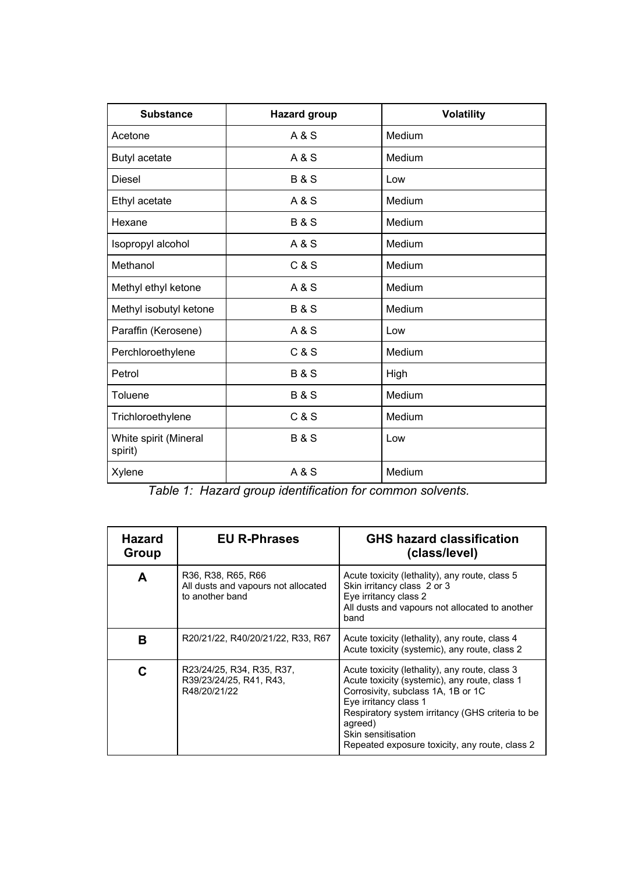| <b>Substance</b>                 | <b>Hazard group</b> | <b>Volatility</b> |
|----------------------------------|---------------------|-------------------|
| Acetone                          | A & S               | Medium            |
| <b>Butyl acetate</b>             | A & S               | Medium            |
| <b>Diesel</b>                    | <b>B&amp;S</b>      | Low               |
| Ethyl acetate                    | A & S               | Medium            |
| Hexane                           | <b>B&amp;S</b>      | Medium            |
| Isopropyl alcohol                | A & S               | Medium            |
| Methanol                         | C & S               | Medium            |
| Methyl ethyl ketone              | A & S               | Medium            |
| Methyl isobutyl ketone           | <b>B&amp;S</b>      | Medium            |
| Paraffin (Kerosene)              | A & S               | Low               |
| Perchloroethylene                | C & S               | Medium            |
| Petrol                           | <b>B&amp;S</b>      | High              |
| Toluene                          | <b>B&amp;S</b>      | Medium            |
| Trichloroethylene                | C & S               | Medium            |
| White spirit (Mineral<br>spirit) | <b>B&amp;S</b>      | Low               |
| Xylene                           | A & S               | Medium            |

*Table 1: Hazard group identification for common solvents.*

| <b>Hazard</b><br>Group | <b>EU R-Phrases</b>                                                          | <b>GHS hazard classification</b><br>(class/level)                                                                                                                                                                                                                                                     |
|------------------------|------------------------------------------------------------------------------|-------------------------------------------------------------------------------------------------------------------------------------------------------------------------------------------------------------------------------------------------------------------------------------------------------|
| A                      | R36, R38, R65, R66<br>All dusts and vapours not allocated<br>to another band | Acute toxicity (lethality), any route, class 5<br>Skin irritancy class 2 or 3<br>Eye irritancy class 2<br>All dusts and vapours not allocated to another<br>band                                                                                                                                      |
| В                      | R20/21/22, R40/20/21/22, R33, R67                                            | Acute toxicity (lethality), any route, class 4<br>Acute toxicity (systemic), any route, class 2                                                                                                                                                                                                       |
|                        | R23/24/25, R34, R35, R37,<br>R39/23/24/25, R41, R43,<br>R48/20/21/22         | Acute toxicity (lethality), any route, class 3<br>Acute toxicity (systemic), any route, class 1<br>Corrosivity, subclass 1A, 1B or 1C<br>Eye irritancy class 1<br>Respiratory system irritancy (GHS criteria to be<br>agreed)<br>Skin sensitisation<br>Repeated exposure toxicity, any route, class 2 |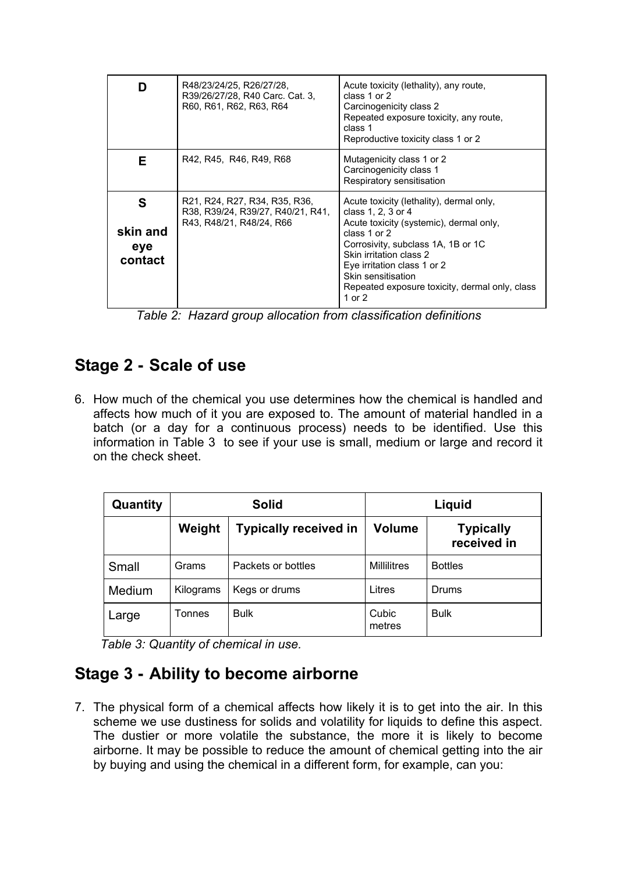| n                               | R48/23/24/25, R26/27/28,<br>R39/26/27/28, R40 Carc. Cat. 3,<br>R60, R61, R62, R63, R64         | Acute toxicity (lethality), any route,<br>class 1 or 2<br>Carcinogenicity class 2<br>Repeated exposure toxicity, any route,<br>class 1<br>Reproductive toxicity class 1 or 2                                                                                                                                    |
|---------------------------------|------------------------------------------------------------------------------------------------|-----------------------------------------------------------------------------------------------------------------------------------------------------------------------------------------------------------------------------------------------------------------------------------------------------------------|
| F.                              | R42, R45, R46, R49, R68                                                                        | Mutagenicity class 1 or 2<br>Carcinogenicity class 1<br>Respiratory sensitisation                                                                                                                                                                                                                               |
| S<br>skin and<br>eye<br>contact | R21, R24, R27, R34, R35, R36,<br>R38, R39/24, R39/27, R40/21, R41,<br>R43, R48/21, R48/24, R66 | Acute toxicity (lethality), dermal only,<br>class 1, 2, 3 or 4<br>Acute toxicity (systemic), dermal only,<br>class $1$ or $2$<br>Corrosivity, subclass 1A, 1B or 1C<br>Skin irritation class 2<br>Eye irritation class 1 or 2<br>Skin sensitisation<br>Repeated exposure toxicity, dermal only, class<br>1 or 2 |

*Table 2: Hazard group allocation from classification definitions*

# **Stage 2 - Scale of use**

6. How much of the chemical you use determines how the chemical is handled and affects how much of it you are exposed to. The amount of material handled in a batch (or a day for a continuous process) needs to be identified. Use this information in Table 3 to see if your use is small, medium or large and record it on the check sheet.

| Quantity      | <b>Solid</b> |                              | Liquid             |                                 |
|---------------|--------------|------------------------------|--------------------|---------------------------------|
|               | Weight       | <b>Typically received in</b> | <b>Volume</b>      | <b>Typically</b><br>received in |
| Small         | Grams        | Packets or bottles           | <b>Millilitres</b> | <b>Bottles</b>                  |
| <b>Medium</b> | Kilograms    | Kegs or drums                | Litres             | Drums                           |
| Large         | Tonnes       | <b>Bulk</b>                  | Cubic<br>metres    | <b>Bulk</b>                     |

 *Table 3: Quantity of chemical in use.*

# **Stage 3 - Ability to become airborne**

7. The physical form of a chemical affects how likely it is to get into the air. In this scheme we use dustiness for solids and volatility for liquids to define this aspect. The dustier or more volatile the substance, the more it is likely to become airborne. It may be possible to reduce the amount of chemical getting into the air by buying and using the chemical in a different form, for example, can you: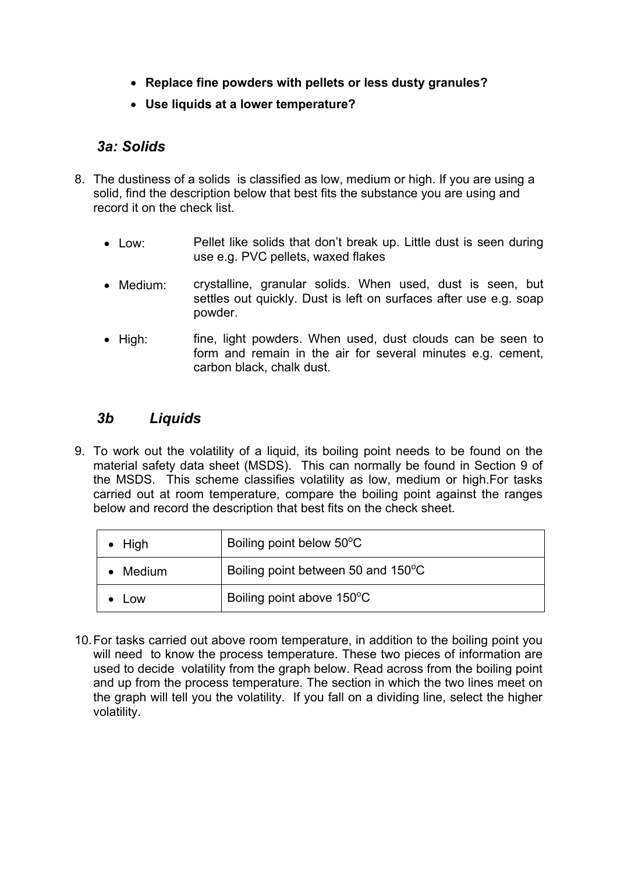- **Replace fine powders with pellets or less dusty granules?**
- **Use liquids at a lower temperature?**

#### *3a: Solids*

- 8. The dustiness of a solids is classified as low, medium or high. If you are using a solid, find the description below that best fits the substance you are using and record it on the check list.
	- Low: Pellet like solids that don't break up. Little dust is seen during use e.g. PVC pellets, waxed flakes
	- Medium: crystalline, granular solids. When used, dust is seen, but settles out quickly. Dust is left on surfaces after use e.g. soap powder.
	- High: fine, light powders. When used, dust clouds can be seen to form and remain in the air for several minutes e.g. cement, carbon black, chalk dust.

#### *3b Liquids*

9. To work out the volatility of a liquid, its boiling point needs to be found on the material safety data sheet (MSDS). This can normally be found in Section 9 of the MSDS. This scheme classifies volatility as low, medium or high.For tasks carried out at room temperature, compare the boiling point against the ranges below and record the description that best fits on the check sheet.

| $\bullet$ High | Boiling point below 50°C           |
|----------------|------------------------------------|
| Medium         | Boiling point between 50 and 150°C |
| <b>LOW</b>     | Boiling point above 150°C          |

10. For tasks carried out above room temperature, in addition to the boiling point you will need to know the process temperature. These two pieces of information are used to decide volatility from the graph below. Read across from the boiling point and up from the process temperature. The section in which the two lines meet on the graph will tell you the volatility. If you fall on a dividing line, select the higher volatility.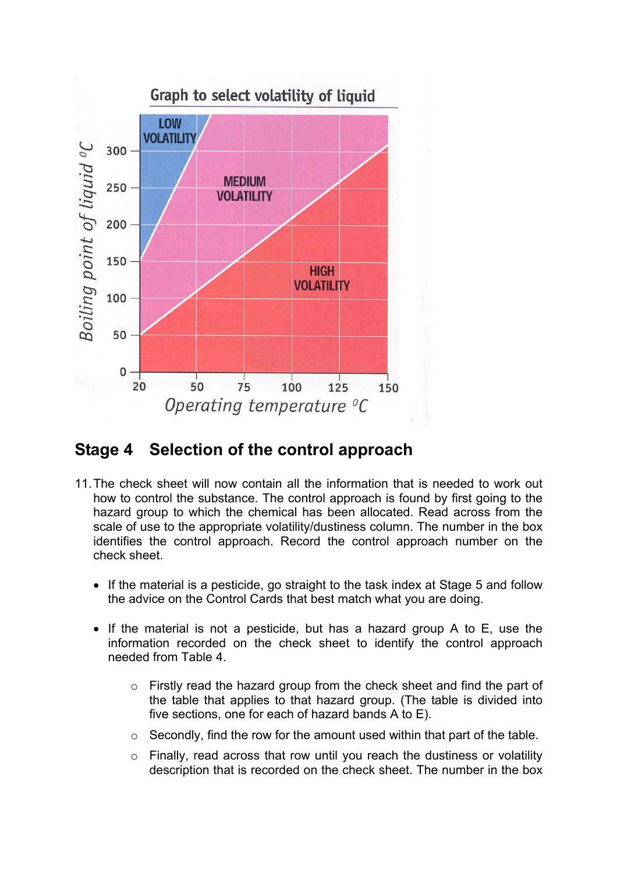

### **Stage 4 Selection of the control approach**

- 11. The check sheet will now contain all the information that is needed to work out how to control the substance. The control approach is found by first going to the hazard group to which the chemical has been allocated. Read across from the scale of use to the appropriate volatility/dustiness column. The number in the box identifies the control approach. Record the control approach number on the check sheet.
	- If the material is a pesticide, go straight to the task index at Stage 5 and follow the advice on the Control Cards that best match what you are doing.
	- If the material is not a pesticide, but has a hazard group A to E, use the information recorded on the check sheet to identify the control approach needed from Table 4.
		- o Firstly read the hazard group from the check sheet and find the part of the table that applies to that hazard group. (The table is divided into five sections, one for each of hazard bands A to E).
		- $\circ$  Secondly, find the row for the amount used within that part of the table.
		- o Finally, read across that row until you reach the dustiness or volatility description that is recorded on the check sheet. The number in the box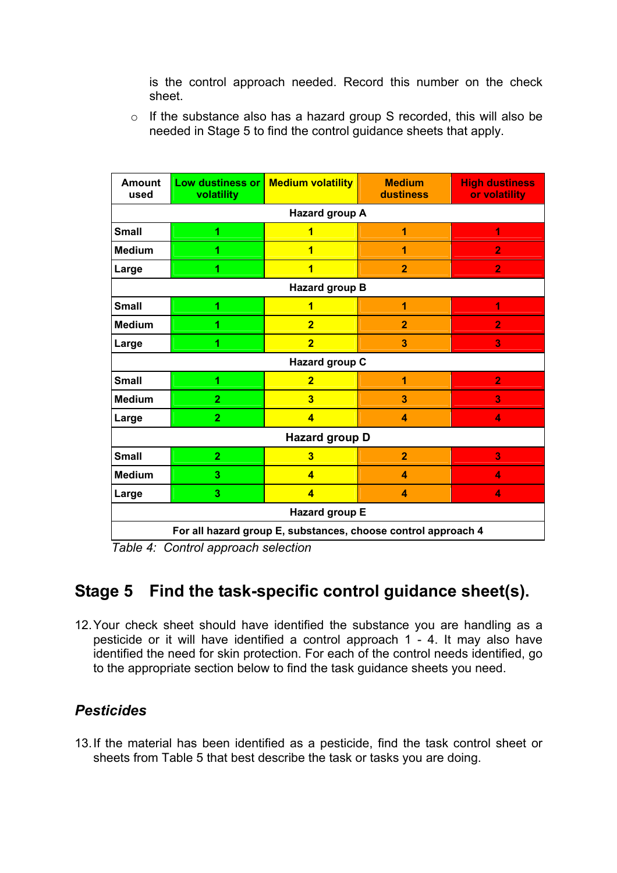is the control approach needed. Record this number on the check sheet.

o If the substance also has a hazard group S recorded, this will also be needed in Stage 5 to find the control guidance sheets that apply.

| <b>Amount</b><br>used                                         | Low dustiness or<br>volatility | <b>Medium volatility</b> | <b>Medium</b><br>dustiness | <b>High dustiness</b><br>or volatility |  |  |
|---------------------------------------------------------------|--------------------------------|--------------------------|----------------------------|----------------------------------------|--|--|
|                                                               | Hazard group A                 |                          |                            |                                        |  |  |
| <b>Small</b>                                                  | 1                              | 1                        | 1                          | 1                                      |  |  |
| <b>Medium</b>                                                 | 1                              | 1                        | 1                          | $\overline{2}$                         |  |  |
| Large                                                         | 1                              | $\overline{\mathbf{1}}$  | $\overline{2}$             | $\overline{2}$                         |  |  |
|                                                               |                                | Hazard group B           |                            |                                        |  |  |
| <b>Small</b>                                                  | 1                              | $\overline{\mathbf{1}}$  | 1                          | 1                                      |  |  |
| <b>Medium</b>                                                 | 1                              | $\overline{2}$           | $\overline{2}$             | $\overline{2}$                         |  |  |
| Large                                                         | 1                              | $\overline{2}$           | 3                          | 3                                      |  |  |
|                                                               |                                | Hazard group C           |                            |                                        |  |  |
| <b>Small</b>                                                  | 1                              | $\overline{2}$           | 1                          | $\overline{2}$                         |  |  |
| <b>Medium</b>                                                 | $\overline{2}$                 | $\overline{\mathbf{3}}$  | $\overline{\mathbf{3}}$    | 3                                      |  |  |
| Large                                                         | $\overline{2}$                 | $\overline{4}$           | $\overline{\mathbf{4}}$    | 4                                      |  |  |
| Hazard group D                                                |                                |                          |                            |                                        |  |  |
| <b>Small</b>                                                  | $\overline{2}$                 | $\overline{\mathbf{3}}$  | $\overline{2}$             | 3                                      |  |  |
| <b>Medium</b>                                                 | 3                              | $\overline{4}$           | $\overline{\mathbf{4}}$    | 4                                      |  |  |
| Large                                                         | 3                              | $\overline{\mathbf{A}}$  | $\boldsymbol{A}$           | 4                                      |  |  |
| Hazard group E                                                |                                |                          |                            |                                        |  |  |
| For all hazard group E, substances, choose control approach 4 |                                |                          |                            |                                        |  |  |

*Table 4: Control approach selection*

# **Stage 5 Find the task-specific control guidance sheet(s).**

12. Your check sheet should have identified the substance you are handling as a pesticide or it will have identified a control approach 1 - 4. It may also have identified the need for skin protection. For each of the control needs identified, go to the appropriate section below to find the task guidance sheets you need.

#### *Pesticides*

13. If the material has been identified as a pesticide, find the task control sheet or sheets from Table 5 that best describe the task or tasks you are doing.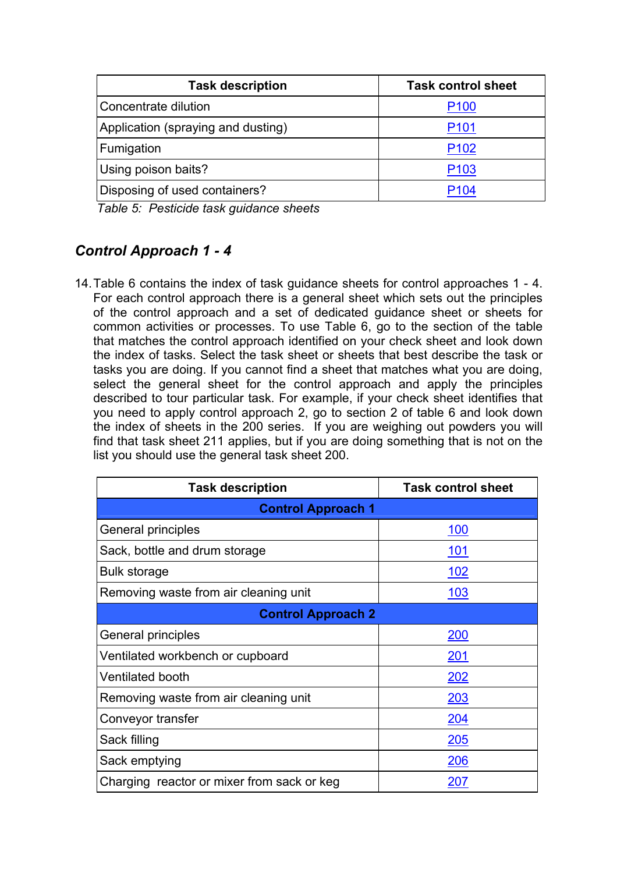| <b>Task description</b>            | <b>Task control sheet</b> |
|------------------------------------|---------------------------|
| Concentrate dilution               | P <sub>100</sub>          |
| Application (spraying and dusting) | P <sub>101</sub>          |
| Fumigation                         | P <sub>102</sub>          |
| Using poison baits?                | P <sub>103</sub>          |
| Disposing of used containers?      | P104                      |

*Table 5: Pesticide task guidance sheets*

### *Control Approach 1 - 4*

14. Table 6 contains the index of task guidance sheets for control approaches 1 - 4. For each control approach there is a general sheet which sets out the principles of the control approach and a set of dedicated guidance sheet or sheets for common activities or processes. To use Table 6, go to the section of the table that matches the control approach identified on your check sheet and look down the index of tasks. Select the task sheet or sheets that best describe the task or tasks you are doing. If you cannot find a sheet that matches what you are doing, select the general sheet for the control approach and apply the principles described to tour particular task. For example, if your check sheet identifies that you need to apply control approach 2, go to section 2 of table 6 and look down the index of sheets in the 200 series. If you are weighing out powders you will find that task sheet 211 applies, but if you are doing something that is not on the list you should use the general task sheet 200.

| <b>Task description</b>                    | <b>Task control sheet</b> |  |  |  |
|--------------------------------------------|---------------------------|--|--|--|
| <b>Control Approach 1</b>                  |                           |  |  |  |
| General principles                         | <u> 100</u>               |  |  |  |
| Sack, bottle and drum storage              | <u> 101</u>               |  |  |  |
| Bulk storage                               | <u> 102</u>               |  |  |  |
| Removing waste from air cleaning unit      | 103                       |  |  |  |
| <b>Control Approach 2</b>                  |                           |  |  |  |
| General principles                         | <u> 200</u>               |  |  |  |
| Ventilated workbench or cupboard           | 201                       |  |  |  |
| <b>Ventilated booth</b>                    | 202                       |  |  |  |
| Removing waste from air cleaning unit      | 203                       |  |  |  |
| Conveyor transfer                          | <u> 204</u>               |  |  |  |
| Sack filling                               | 205                       |  |  |  |
| Sack emptying                              | 206                       |  |  |  |
| Charging reactor or mixer from sack or keg | <u> 207</u>               |  |  |  |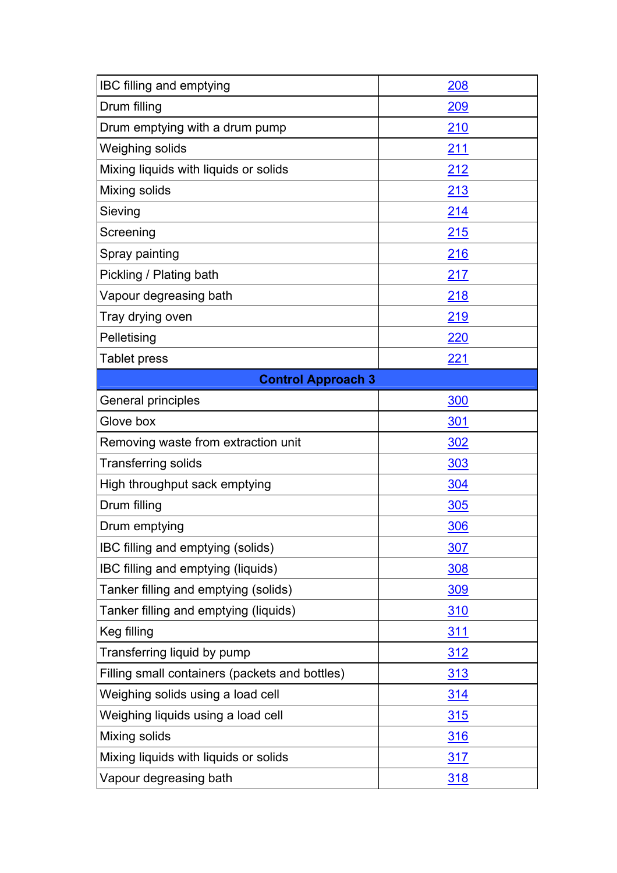| IBC filling and emptying                       | 208        |  |  |  |
|------------------------------------------------|------------|--|--|--|
| Drum filling                                   | 209        |  |  |  |
| Drum emptying with a drum pump                 | 210        |  |  |  |
| Weighing solids                                | 211        |  |  |  |
| Mixing liquids with liquids or solids          | 212        |  |  |  |
| Mixing solids                                  | 213        |  |  |  |
| Sieving                                        | 214        |  |  |  |
| Screening                                      | 215        |  |  |  |
| Spray painting                                 | 216        |  |  |  |
| Pickling / Plating bath                        | 217        |  |  |  |
| Vapour degreasing bath                         | 218        |  |  |  |
| Tray drying oven                               | 219        |  |  |  |
| Pelletising                                    | <b>220</b> |  |  |  |
| Tablet press                                   | 221        |  |  |  |
| <b>Control Approach 3</b>                      |            |  |  |  |
| General principles                             | 300        |  |  |  |
| Glove box                                      | <u>301</u> |  |  |  |
| Removing waste from extraction unit            | 302        |  |  |  |
| <b>Transferring solids</b>                     | <u>303</u> |  |  |  |
| High throughput sack emptying                  | 304        |  |  |  |
| Drum filling                                   | <u>305</u> |  |  |  |
| Drum emptying                                  | <u>306</u> |  |  |  |
| IBC filling and emptying (solids)              | <u>307</u> |  |  |  |
| IBC filling and emptying (liquids)             | <u>308</u> |  |  |  |
| Tanker filling and emptying (solids)           | <b>309</b> |  |  |  |
| Tanker filling and emptying (liquids)          | <u>310</u> |  |  |  |
| Keg filling                                    | <u>311</u> |  |  |  |
| Transferring liquid by pump                    | <u>312</u> |  |  |  |
| Filling small containers (packets and bottles) | <u>313</u> |  |  |  |
| Weighing solids using a load cell              | <u>314</u> |  |  |  |
| Weighing liquids using a load cell             | <u>315</u> |  |  |  |
| Mixing solids                                  | <u>316</u> |  |  |  |
| Mixing liquids with liquids or solids          | <u>317</u> |  |  |  |
| Vapour degreasing bath                         | <u>318</u> |  |  |  |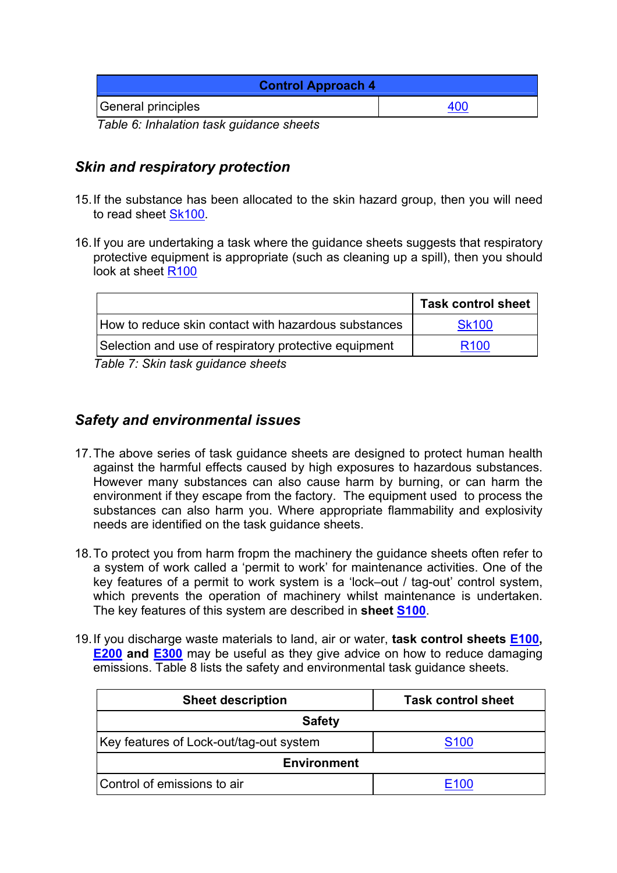| <b>Control Approach 4</b>                |     |  |
|------------------------------------------|-----|--|
| General principles                       | 400 |  |
| Table 6: Inhalation tack quidance shoots |     |  |

*Table 6: Inhalation task guidance sheets*

#### *Skin and respiratory protection*

- 15. If the substance has been allocated to the skin hazard group, then you will need to read sheet [Sk100](http://www.ilo.org/public/english/protection/safework/ctrl_banding/toolkit/tcs-sk100.pdf).
- 16. If you are undertaking a task where the guidance sheets suggests that respiratory protective equipment is appropriate (such as cleaning up a spill), then you should look at sheet [R100](http://www.ilo.org/public/english/protection/safework/ctrl_banding/toolkit/tcs-r100.pdf)

|                                                       | <b>Task control sheet</b> |
|-------------------------------------------------------|---------------------------|
| How to reduce skin contact with hazardous substances  | <b>Sk100</b>              |
| Selection and use of respiratory protective equipment | R <sub>100</sub>          |

*Table 7: Skin task guidance sheets*

#### *Safety and environmental issues*

- 17. The above series of task guidance sheets are designed to protect human health against the harmful effects caused by high exposures to hazardous substances. However many substances can also cause harm by burning, or can harm the environment if they escape from the factory. The equipment used to process the substances can also harm you. Where appropriate flammability and explosivity needs are identified on the task guidance sheets.
- 18. To protect you from harm fropm the machinery the guidance sheets often refer to a system of work called a 'permit to work' for maintenance activities. One of the key features of a permit to work system is a 'lock–out / tag-out' control system, which prevents the operation of machinery whilst maintenance is undertaken. The key features of this system are described in **sheet [S100](http://www.ilo.org/public/english/protection/safework/ctrl_banding/toolkit/tcs-s100.pdf)**.
- 19. If you discharge waste materials to land, air or water, **task control sheets [E100,](http://www.ilo.org/public/english/protection/safework/ctrl_banding/toolkit/tcs-e100.pdf) [E200](http://www.ilo.org/public/english/protection/safework/ctrl_banding/toolkit/tcs-e200.pdf) and [E300](http://www.ilo.org/public/english/protection/safework/ctrl_banding/toolkit/tcs-e300.pdf)** may be useful as they give advice on how to reduce damaging emissions. Table 8 lists the safety and environmental task guidance sheets.

| <b>Sheet description</b>                | <b>Task control sheet</b> |  |
|-----------------------------------------|---------------------------|--|
| <b>Safety</b>                           |                           |  |
| Key features of Lock-out/tag-out system | S <sub>100</sub>          |  |
| <b>Environment</b>                      |                           |  |
| Control of emissions to air             | ≡1ດດ                      |  |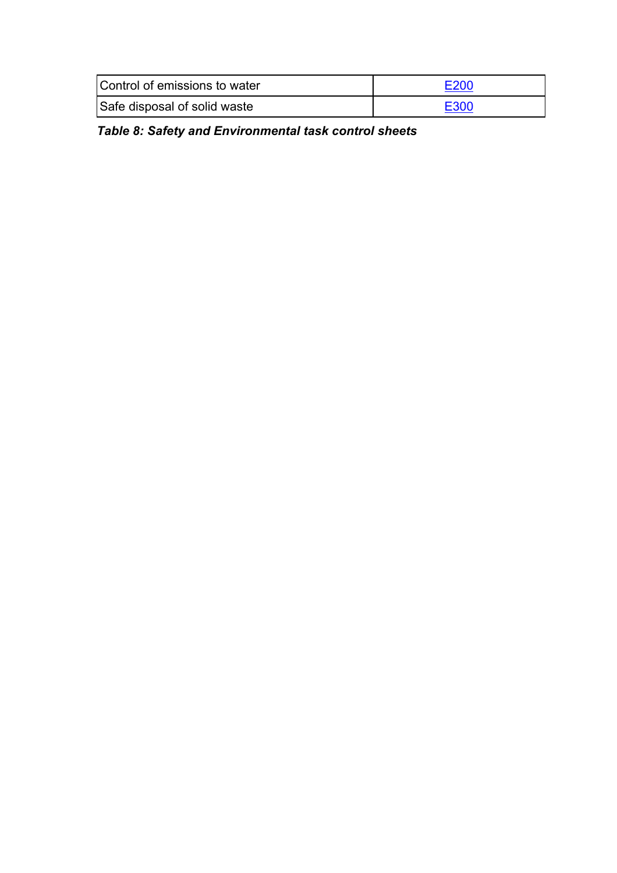| Control of emissions to water | E200 |
|-------------------------------|------|
| Safe disposal of solid waste  | E300 |

*Table 8: Safety and Environmental task control sheets*